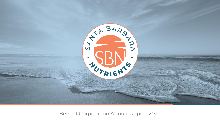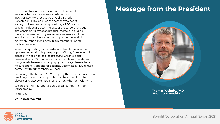I am proud to share our first annual Public Benefit Report. When Santa Barbara Nutrients was incorporated, we chose to be a Public Benefit Corporation (PBC) and use the company to benefit society. Unlike standard corporations, a PBC not only acts in the fiduciary best interests of the corporation, but also considers its effect on broader interests, including the environment, employees, societal interests and the world at large. Making a positive impact in the world is extremely important to every team member at Santa Barbara Nutrients.

When incorporating Santa Barbara Nutrients, we saw the opportunity to bring hope to people suffering from incurable disease with science-backed products. Chronic kidney disease affects 10% of Americans and people worldwide, and many renal diseases, such as polycystic kidney disease, have no cure and few options for patients. Becoming a PBC aligned perfectly with our company purpose.

Personally, I think that EVERY company that is in the business of providing products to support human health and combat disease SHOULD be a PBC. Most are not. Why not? Ask them.

We are sharing this report as part of our commitment to transparency.

Thank you,

**Dr. Thomas Weimbs** 

## **Message from the President**



**Thomas Weimbs, PhD Founder & President**

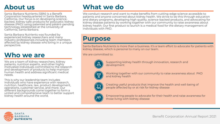## **About us**

Santa Barbara Nutrients (SBN) is a Benefit Corporation headquartered in Santa Barbara, California. Our focus is on developing sciencebacked, kidney-safe products for polycystic kidney disease (PKD) using patented and patent-pending technology established at the University of California, Santa Barbara.

Santa Barbara Nutrients was founded by experienced kidney researchers and many industry professionals including team members affected by kidney disease who bring in a unique perspective.

#### **Who we are**

We are a team of kidney researchers, kidney patients, nutrition experts, and other highly motivated individuals committed to the research and development of products to help maintain human health and address significant medical needs.

This is why our leadership team includes individuals who have experience with research, nutrition, healthcare, law, product development, operations, customer service, and more. Our different backgrounds come together to form a united and comprehensive team to better support kidney health around the world.

## **What we do**

We conduct research and want to make benefits from cutting-edge science accessible to patients and anyone concerned about kidney health. We strive to do this through education and dietary programs, developing high quality, science-backed products, and advocating for kidney disease patients by working together with our community to raise awareness about kidney health. Our first product to launch is a medical food for the dietary management of individuals with PKD.

#### **Purpose**

Santa Barbara Nutrients is more than a business. It's a team effort to advocate for patients with kidney disease, which is personal to many on our team.

We are committed to:



Supporting kidney health through innovation, research and development



Working together with our community to raise awareness about PKD and kidney health



Creating useful products that improve the health and well-being of people affected by or at risk for kidney disease



Empowering people to advocate for their health and raise awareness for those living with kidney disease

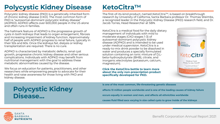# **Polycystic Kidney Disease**

Polycystic kidney disease (PKD) is a genetically inherited form of chronic kidney disease (CKD). The most common form of PKD is "autosomal-dominant polycystic kidney disease" (ADPKD). ADPKD affects over 600,000 people in the US alone and often runs in families.

The hallmark feature of ADPKD is the progressive growth of cysts in both kidneys that leads to organ enlargement, fibrosis and increasing impairment of kidney function. Approximately half of people with ADPKD progress to renal failure, typically in their 50s and 60s. Once the kidneys fail, dialysis or kidney transplantation are required. There is no cure.

ADPKD is characterized by metabolic defects, renal cyst growth, progressive chronic kidney disease and other serious complications. Individuals with ADPKD may benefit from nutritional management with the goal to address these metabolic abnormalities caused by the disease.

We focus on education for patients, practitioners, and other researchers while empowering people to advocate for their health and raise awareness for those living with PKD and kidney disease.

### **KetoCitra™**

The first-of-its-kind product, named KetoCitra<sup>TM</sup>, is based on breakthrough research by University of California, Santa Barbara professor Dr. Thomas Weimbs, a recognized leader in the Polycystic Kidney Disease (PKD) research field, and Dr. Jacob Torres, Head Researcher at SBN.

KetoCitra is a medical food for the daily dietary management of individuals with mild to moderate stages (CKD stages 1-3) of autosomal-dominant polycystic kidney disease (ADPKD) and is intended to be used under medical supervision. KetoCitra is a ready-to-mix drink powder to be dissolved in water and produces a specially formulated solution containing an ionic mixture of D,Lbeta-hydroxybutyrate (BHB), citrate, and inorganic electrolytes (potassium, calcium, magnesium).

**Click the KetoCitra bottle to learn more about the only non-prescription product specifically developed for PKD.**



### **Polycystic Kidney Disease…**

**is one of the most common, life-threatening genetic diseases**

**affects 13 million people worldwide and is one of the leading causes of kidney failure**

**occurs equally in women and men, and affects all ethnicities worldwide**

**causes fluid filled sacs varying in size called cysts to grow inside of the kidneys**